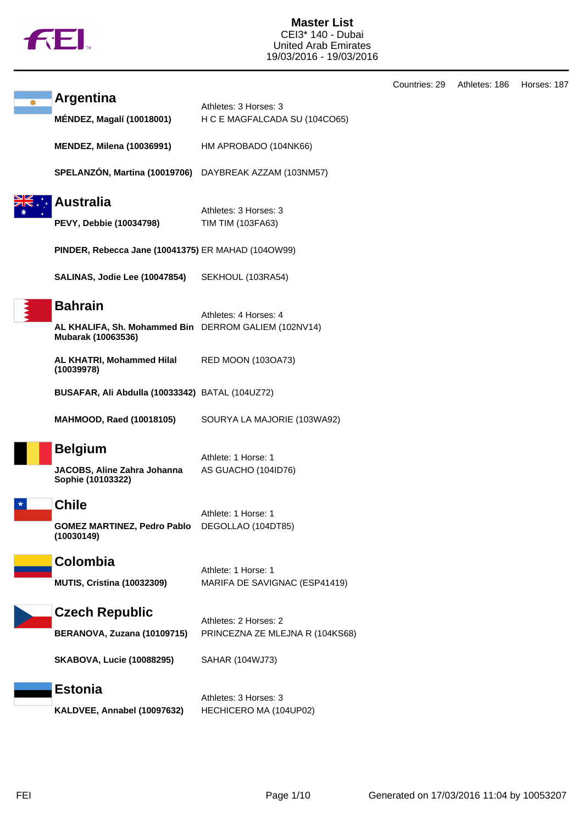

|                                                                                              |                                                          | Countries: 29 | Athletes: 186 | Horses: 187 |
|----------------------------------------------------------------------------------------------|----------------------------------------------------------|---------------|---------------|-------------|
| <b>Argentina</b><br><b>MÉNDEZ, Magalí (10018001)</b>                                         | Athletes: 3 Horses: 3<br>H C E MAGFALCADA SU (104CO65)   |               |               |             |
| <b>MENDEZ, Milena (10036991)</b>                                                             | HM APROBADO (104NK66)                                    |               |               |             |
| SPELANZÓN, Martina (10019706)                                                                | DAYBREAK AZZAM (103NM57)                                 |               |               |             |
| <b>Australia</b><br><b>PEVY, Debbie (10034798)</b>                                           | Athletes: 3 Horses: 3<br>TIM TIM (103FA63)               |               |               |             |
| PINDER, Rebecca Jane (10041375) ER MAHAD (104OW99)                                           |                                                          |               |               |             |
| SALINAS, Jodie Lee (10047854)                                                                | SEKHOUL (103RA54)                                        |               |               |             |
| <b>Bahrain</b><br>AL KHALIFA, Sh. Mohammed Bin DERROM GALIEM (102NV14)<br>Mubarak (10063536) | Athletes: 4 Horses: 4                                    |               |               |             |
| AL KHATRI, Mohammed Hilal<br>(10039978)                                                      | <b>RED MOON (103OA73)</b>                                |               |               |             |
| BUSAFAR, Ali Abdulla (10033342) BATAL (104UZ72)                                              |                                                          |               |               |             |
| <b>MAHMOOD, Raed (10018105)</b>                                                              | SOURYA LA MAJORIE (103WA92)                              |               |               |             |
| <b>Belgium</b><br>JACOBS, Aline Zahra Johanna<br>Sophie (10103322)                           | Athlete: 1 Horse: 1<br>AS GUACHO (104ID76)               |               |               |             |
| <b>Chile</b><br><b>GOMEZ MARTINEZ, Pedro Pablo</b> DEGOLLAO (104DT85)<br>(10030149)          | Athlete: 1 Horse: 1                                      |               |               |             |
| Colombia<br><b>MUTIS, Cristina (10032309)</b>                                                | Athlete: 1 Horse: 1<br>MARIFA DE SAVIGNAC (ESP41419)     |               |               |             |
| <b>Czech Republic</b><br>BERANOVA, Zuzana (10109715)                                         | Athletes: 2 Horses: 2<br>PRINCEZNA ZE MLEJNA R (104KS68) |               |               |             |
| <b>SKABOVA, Lucie (10088295)</b>                                                             | SAHAR (104WJ73)                                          |               |               |             |
| <b>Estonia</b><br>KALDVEE, Annabel (10097632)                                                | Athletes: 3 Horses: 3<br>HECHICERO MA (104UP02)          |               |               |             |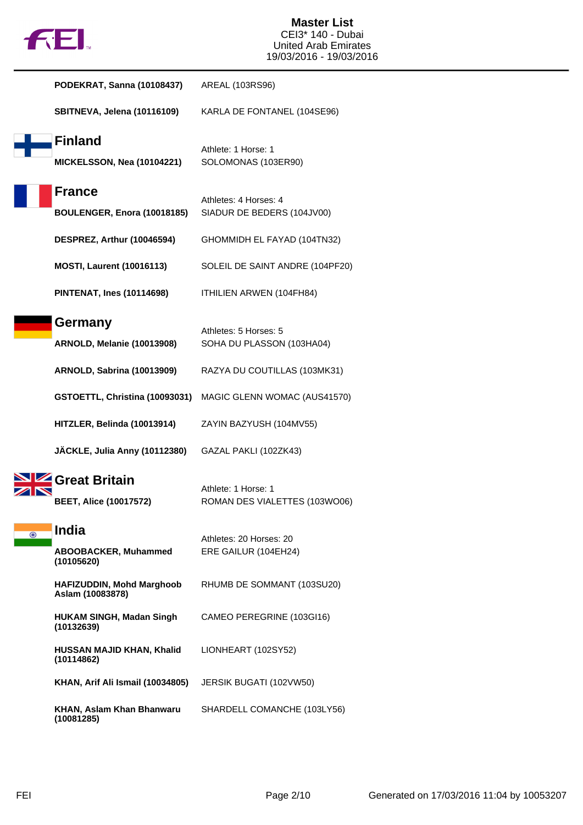|  | TΜ |
|--|----|
|  |    |

|         | PODEKRAT, Sanna (10108437)                                | AREAL (103RS96)                                      |
|---------|-----------------------------------------------------------|------------------------------------------------------|
|         | SBITNEVA, Jelena (10116109)                               | KARLA DE FONTANEL (104SE96)                          |
|         | <b>Finland</b><br><b>MICKELSSON, Nea (10104221)</b>       | Athlete: 1 Horse: 1<br>SOLOMONAS (103ER90)           |
|         | <b>France</b><br>BOULENGER, Enora (10018185)              | Athletes: 4 Horses: 4<br>SIADUR DE BEDERS (104JV00)  |
|         | DESPREZ, Arthur (10046594)                                | GHOMMIDH EL FAYAD (104TN32)                          |
|         | <b>MOSTI, Laurent (10016113)</b>                          | SOLEIL DE SAINT ANDRE (104PF20)                      |
|         | <b>PINTENAT, Ines (10114698)</b>                          | ITHILIEN ARWEN (104FH84)                             |
|         | Germany<br>ARNOLD, Melanie (10013908)                     | Athletes: 5 Horses: 5<br>SOHA DU PLASSON (103HA04)   |
|         | <b>ARNOLD, Sabrina (10013909)</b>                         | RAZYA DU COUTILLAS (103MK31)                         |
|         | GSTOETTL, Christina (10093031)                            | MAGIC GLENN WOMAC (AUS41570)                         |
|         | HITZLER, Belinda (10013914)                               | ZAYIN BAZYUSH (104MV55)                              |
|         | JÄCKLE, Julia Anny (10112380)                             | GAZAL PAKLI (102ZK43)                                |
|         | <b>Great Britain</b><br><b>BEET, Alice (10017572)</b>     | Athlete: 1 Horse: 1<br>ROMAN DES VIALETTES (103WO06) |
| $\odot$ | <b>India</b><br><b>ABOOBACKER, Muhammed</b><br>(10105620) | Athletes: 20 Horses: 20<br>ERE GAILUR (104EH24)      |
|         | <b>HAFIZUDDIN, Mohd Marghoob</b><br>Aslam (10083878)      | RHUMB DE SOMMANT (103SU20)                           |
|         | <b>HUKAM SINGH, Madan Singh</b><br>(10132639)             | CAMEO PEREGRINE (103GI16)                            |
|         | HUSSAN MAJID KHAN, Khalid<br>(10114862)                   | LIONHEART (102SY52)                                  |
|         | KHAN, Arif Ali Ismail (10034805)                          | JERSIK BUGATI (102VW50)                              |
|         | KHAN, Aslam Khan Bhanwaru<br>(10081285)                   | SHARDELL COMANCHE (103LY56)                          |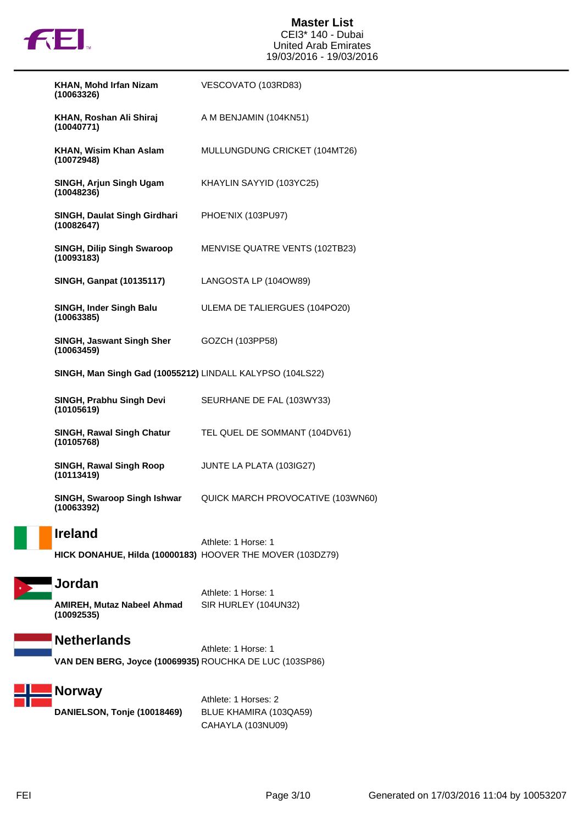

| KHAN, Mohd Irfan Nizam<br>(10063326)                      | VESCOVATO (103RD83)                   |
|-----------------------------------------------------------|---------------------------------------|
| KHAN, Roshan Ali Shiraj<br>(10040771)                     | A M BENJAMIN (104KN51)                |
| KHAN, Wisim Khan Aslam<br>(10072948)                      | MULLUNGDUNG CRICKET (104MT26)         |
| SINGH, Arjun Singh Ugam<br>(10048236)                     | KHAYLIN SAYYID (103YC25)              |
| SINGH, Daulat Singh Girdhari<br>(10082647)                | PHOE'NIX (103PU97)                    |
| <b>SINGH, Dilip Singh Swaroop</b><br>(10093183)           | <b>MENVISE QUATRE VENTS (102TB23)</b> |
| <b>SINGH, Ganpat (10135117)</b>                           | LANGOSTA LP (104OW89)                 |
| SINGH, Inder Singh Balu<br>(10063385)                     | ULEMA DE TALIERGUES (104PO20)         |
| <b>SINGH, Jaswant Singh Sher</b><br>(10063459)            | GOZCH (103PP58)                       |
| SINGH, Man Singh Gad (10055212) LINDALL KALYPSO (104LS22) |                                       |
| SINGH, Prabhu Singh Devi<br>(10105619)                    | SEURHANE DE FAL (103WY33)             |
| <b>SINGH, Rawal Singh Chatur</b><br>(10105768)            | TEL QUEL DE SOMMANT (104DV61)         |
| <b>SINGH, Rawal Singh Roop</b><br>(10113419)              | JUNTE LA PLATA (103IG27)              |
| SINGH, Swaroop Singh Ishwar<br>(10063392)                 | QUICK MARCH PROVOCATIVE (103WN60)     |
|                                                           |                                       |

### **Ireland**

Athlete: 1 Horse: 1 **HICK DONAHUE, Hilda (10000183)** HOOVER THE MOVER (103DZ79)

# **Jordan**

Athlete: 1 Horse: 1 **AMIREH, Mutaz Nabeel Ahmad (10092535)** SIR HURLEY (104UN32)

## **Netherlands**

Athlete: 1 Horse: 1 **VAN DEN BERG, Joyce (10069935)** ROUCHKA DE LUC (103SP86)

## **Norway**

**DANIELSON, Tonje (10018469)** BLUE KHAMIRA (103QA59)

Athlete: 1 Horses: 2 CAHAYLA (103NU09)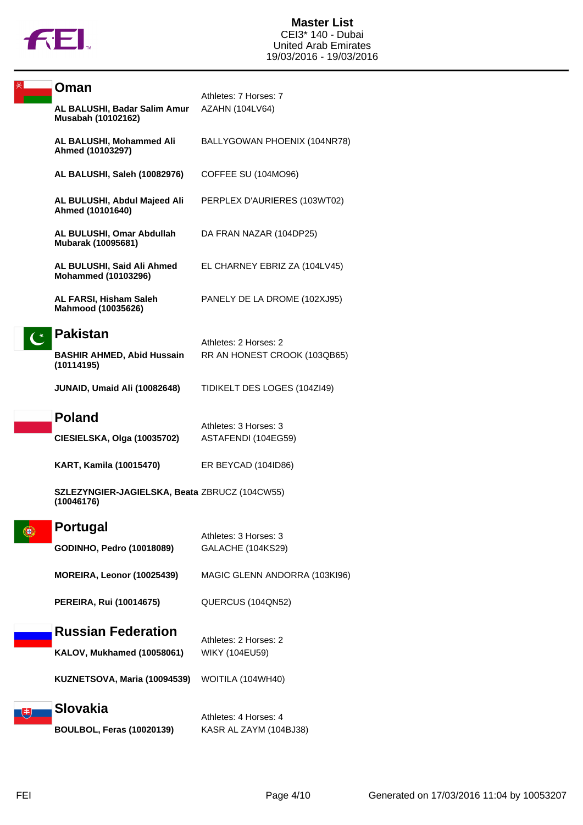

| Oman                                                        | Athletes: 7 Horses: 7         |
|-------------------------------------------------------------|-------------------------------|
| AL BALUSHI, Badar Salim Amur<br>Musabah (10102162)          | AZAHN (104LV64)               |
| AL BALUSHI, Mohammed Ali<br>Ahmed (10103297)                | BALLYGOWAN PHOENIX (104NR78)  |
| AL BALUSHI, Saleh (10082976)                                | COFFEE SU (104MO96)           |
| AL BULUSHI, Abdul Majeed Ali<br>Ahmed (10101640)            | PERPLEX D'AURIERES (103WT02)  |
| AL BULUSHI, Omar Abdullah<br>Mubarak (10095681)             | DA FRAN NAZAR (104DP25)       |
| AL BULUSHI, Said Ali Ahmed<br><b>Mohammed (10103296)</b>    | EL CHARNEY EBRIZ ZA (104LV45) |
| AL FARSI, Hisham Saleh<br>Mahmood (10035626)                | PANELY DE LA DROME (102XJ95)  |
| <b>Pakistan</b>                                             | Athletes: 2 Horses: 2         |
| <b>BASHIR AHMED, Abid Hussain</b><br>(10114195)             | RR AN HONEST CROOK (103QB65)  |
| <b>JUNAID, Umaid Ali (10082648)</b>                         | TIDIKELT DES LOGES (104ZI49)  |
| <b>Poland</b>                                               | Athletes: 3 Horses: 3         |
| CIESIELSKA, Olga (10035702)                                 | ASTAFENDI (104EG59)           |
| <b>KART, Kamila (10015470)</b>                              | ER BEYCAD (104ID86)           |
| SZLEZYNGIER-JAGIELSKA, Beata ZBRUCZ (104CW55)<br>(10046176) |                               |
| Portugal                                                    | Athletes: 3 Horses: 3         |
| GODINHO, Pedro (10018089)                                   | GALACHE (104KS29)             |
| MOREIRA, Leonor (10025439)                                  | MAGIC GLENN ANDORRA (103KI96) |
| PEREIRA, Rui (10014675)                                     | QUERCUS (104QN52)             |
| <b>Russian Federation</b>                                   | Athletes: 2 Horses: 2         |
| KALOV, Mukhamed (10058061)                                  | <b>WIKY (104EU59)</b>         |
| KUZNETSOVA, Maria (10094539)                                | WOITILA (104WH40)             |
| <b>Slovakia</b>                                             | Athletes: 4 Horses: 4         |
| <b>BOULBOL, Feras (10020139)</b>                            | KASR AL ZAYM (104BJ38)        |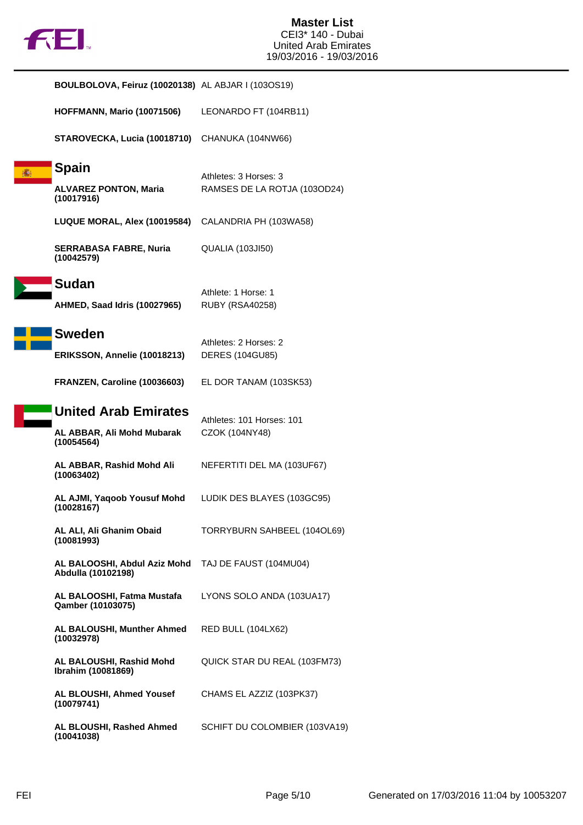

| <b>BOULBOLOVA, Feiruz (10020138)</b> AL ABJAR I (103OS19)               |                                                       |
|-------------------------------------------------------------------------|-------------------------------------------------------|
| <b>HOFFMANN, Mario (10071506)</b>                                       | LEONARDO FT (104RB11)                                 |
| STAROVECKA, Lucia (10018710)                                            | CHANUKA (104NW66)                                     |
| <b>Spain</b><br><b>ALVAREZ PONTON, Maria</b><br>(10017916)              | Athletes: 3 Horses: 3<br>RAMSES DE LA ROTJA (103OD24) |
| LUQUE MORAL, Alex (10019584)                                            | CALANDRIA PH (103WA58)                                |
| <b>SERRABASA FABRE, Nuria</b><br>(10042579)                             | QUALIA (103JI50)                                      |
| <b>Sudan</b><br>AHMED, Saad Idris (10027965)                            | Athlete: 1 Horse: 1<br><b>RUBY (RSA40258)</b>         |
| <b>Sweden</b><br>ERIKSSON, Annelie (10018213)                           | Athletes: 2 Horses: 2<br>DERES (104GU85)              |
| FRANZEN, Caroline (10036603)                                            | EL DOR TANAM (103SK53)                                |
| <b>United Arab Emirates</b><br>AL ABBAR, Ali Mohd Mubarak<br>(10054564) | Athletes: 101 Horses: 101<br>CZOK (104NY48)           |
| AL ABBAR, Rashid Mohd Ali<br>(10063402)                                 | NEFERTITI DEL MA (103UF67)                            |
| AL AJMI, Yaqoob Yousuf Mohd<br>(10028167)                               | LUDIK DES BLAYES (103GC95)                            |
| AL ALI, Ali Ghanim Obaid<br>(10081993)                                  | TORRYBURN SAHBEEL (104OL69)                           |
| AL BALOOSHI, Abdul Aziz Mohd<br>Abdulla (10102198)                      | TAJ DE FAUST (104MU04)                                |
| AL BALOOSHI, Fatma Mustafa<br>Qamber (10103075)                         | LYONS SOLO ANDA (103UA17)                             |
| <b>AL BALOUSHI, Munther Ahmed</b><br>(10032978)                         | RED BULL (104LX62)                                    |
| AL BALOUSHI, Rashid Mohd<br>Ibrahim (10081869)                          | QUICK STAR DU REAL (103FM73)                          |
| AL BLOUSHI, Ahmed Yousef<br>(10079741)                                  | CHAMS EL AZZIZ (103PK37)                              |
| AL BLOUSHI, Rashed Ahmed<br>(10041038)                                  | SCHIFT DU COLOMBIER (103VA19)                         |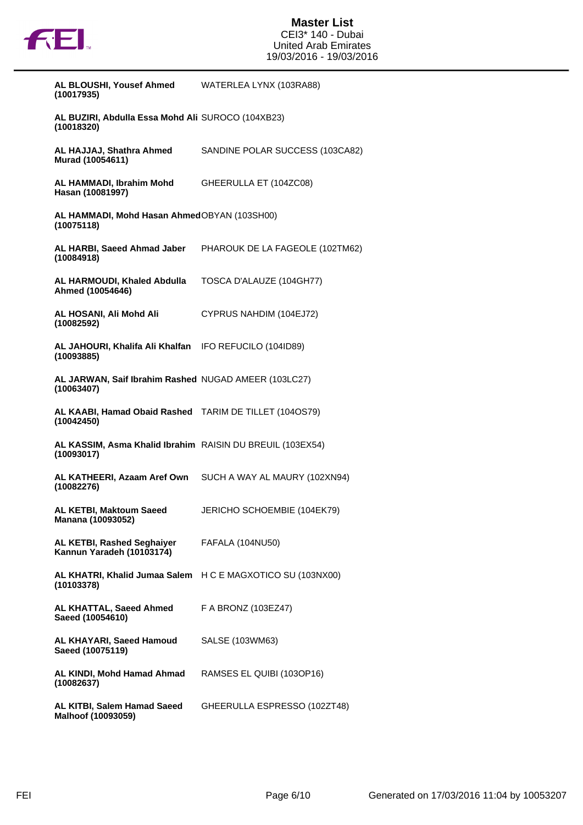

| AL BLOUSHI, Yousef Ahmed<br>(10017935)                                   | WATERLEA LYNX (103RA88)         |
|--------------------------------------------------------------------------|---------------------------------|
| AL BUZIRI, Abdulla Essa Mohd Ali SUROCO (104XB23)<br>(10018320)          |                                 |
| AL HAJJAJ, Shathra Ahmed<br>Murad (10054611)                             | SANDINE POLAR SUCCESS (103CA82) |
| AL HAMMADI, Ibrahim Mohd<br>Hasan (10081997)                             | GHEERULLA ET (104ZC08)          |
| AL HAMMADI, Mohd Hasan AhmedOBYAN (103SH00)<br>(10075118)                |                                 |
| AL HARBI, Saeed Ahmad Jaber<br>(10084918)                                | PHAROUK DE LA FAGEOLE (102TM62) |
| AL HARMOUDI, Khaled Abdulla<br>Ahmed (10054646)                          | TOSCA D'ALAUZE (104GH77)        |
| AL HOSANI, Ali Mohd Ali<br>(10082592)                                    | CYPRUS NAHDIM (104EJ72)         |
| AL JAHOURI, Khalifa Ali Khalfan IFO REFUCILO (104ID89)<br>(10093885)     |                                 |
| AL JARWAN, Saif Ibrahim Rashed NUGAD AMEER (103LC27)<br>(10063407)       |                                 |
| AL KAABI, Hamad Obaid Rashed TARIM DE TILLET (1040S79)<br>(10042450)     |                                 |
| AL KASSIM, Asma Khalid Ibrahim RAISIN DU BREUIL (103EX54)<br>(10093017)  |                                 |
| AL KATHEERI, Azaam Aref Own<br>(10082276)                                | SUCH A WAY AL MAURY (102XN94)   |
| AL KETBI, Maktoum Saeed<br>Manana (10093052)                             | JERICHO SCHOEMBIE (104EK79)     |
| AL KETBI, Rashed Seghaiyer<br>Kannun Yaradeh (10103174)                  | FAFALA (104NU50)                |
| AL KHATRI, Khalid Jumaa Salem H C E MAGXOTICO SU (103NX00)<br>(10103378) |                                 |
| AL KHATTAL, Saeed Ahmed<br>Saeed (10054610)                              | F A BRONZ (103EZ47)             |
| AL KHAYARI, Saeed Hamoud<br>Saeed (10075119)                             | SALSE (103WM63)                 |
| AL KINDI, Mohd Hamad Ahmad<br>(10082637)                                 | RAMSES EL QUIBI (103OP16)       |
| AL KITBI, Salem Hamad Saeed<br>Malhoof (10093059)                        | GHEERULLA ESPRESSO (102ZT48)    |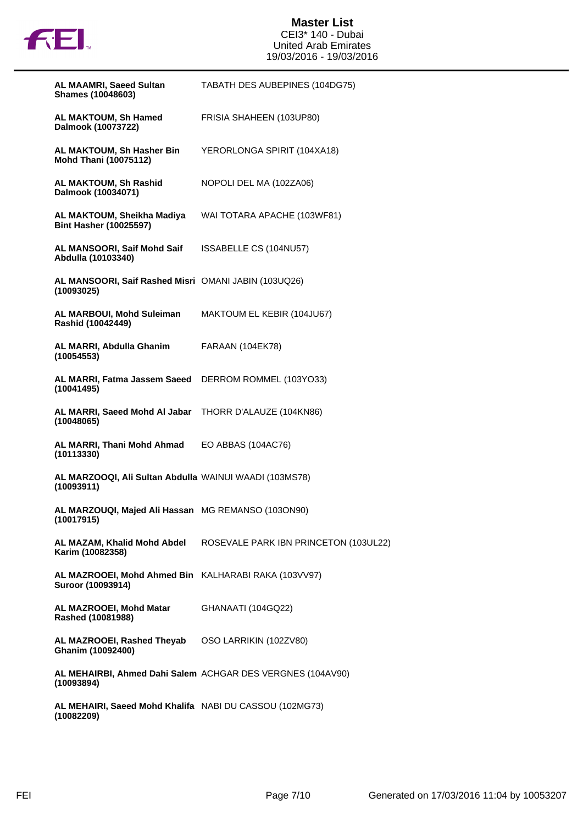

| <b>AL MAAMRI, Saeed Sultan</b><br><b>Shames (10048603)</b>                | TABATH DES AUBEPINES (104DG75)                             |
|---------------------------------------------------------------------------|------------------------------------------------------------|
| AL MAKTOUM, Sh Hamed<br>Dalmook (10073722)                                | FRISIA SHAHEEN (103UP80)                                   |
| AL MAKTOUM, Sh Hasher Bin<br><b>Mohd Thani (10075112)</b>                 | YERORLONGA SPIRIT (104XA18)                                |
| AL MAKTOUM, Sh Rashid<br>Dalmook (10034071)                               | NOPOLI DEL MA (102ZA06)                                    |
| AL MAKTOUM, Sheikha Madiya<br><b>Bint Hasher (10025597)</b>               | WAI TOTARA APACHE (103WF81)                                |
| AL MANSOORI, Saif Mohd Saif<br>Abdulla (10103340)                         | ISSABELLE CS (104NU57)                                     |
| AL MANSOORI, Saif Rashed Misri OMANI JABIN (103UQ26)<br>(10093025)        |                                                            |
| AL MARBOUI, Mohd Suleiman<br>Rashid (10042449)                            | MAKTOUM EL KEBIR (104JU67)                                 |
| AL MARRI, Abdulla Ghanim<br>(10054553)                                    | FARAAN (104EK78)                                           |
| AL MARRI, Fatma Jassem Saeed<br>(10041495)                                | DERROM ROMMEL (103YO33)                                    |
| AL MARRI, Saeed Mohd Al Jabar<br>(10048065)                               | THORR D'ALAUZE (104KN86)                                   |
| AL MARRI, Thani Mohd Ahmad<br>(10113330)                                  | EO ABBAS (104AC76)                                         |
| AL MARZOOQI, Ali Sultan Abdulla WAINUI WAADI (103MS78)<br>(10093911)      |                                                            |
| AL MARZOUQI, Majed Ali Hassan MG REMANSO (103ON90)<br>(10017915)          |                                                            |
| AL MAZAM, Khalid Mohd Abdel<br>Karim (10082358)                           | ROSEVALE PARK IBN PRINCETON (103UL22)                      |
| AL MAZROOEI, Mohd Ahmed Bin KALHARABI RAKA (103VV97)<br>Suroor (10093914) |                                                            |
| AL MAZROOEI, Mohd Matar<br>Rashed (10081988)                              | GHANAATI (104GQ22)                                         |
| AL MAZROOEI, Rashed Theyab<br>Ghanim (10092400)                           | OSO LARRIKIN (102ZV80)                                     |
| (10093894)                                                                | AL MEHAIRBI, Ahmed Dahi Salem ACHGAR DES VERGNES (104AV90) |
| AL MEHAIRI, Saeed Mohd Khalifa NABI DU CASSOU (102MG73)                   |                                                            |

**(10082209)**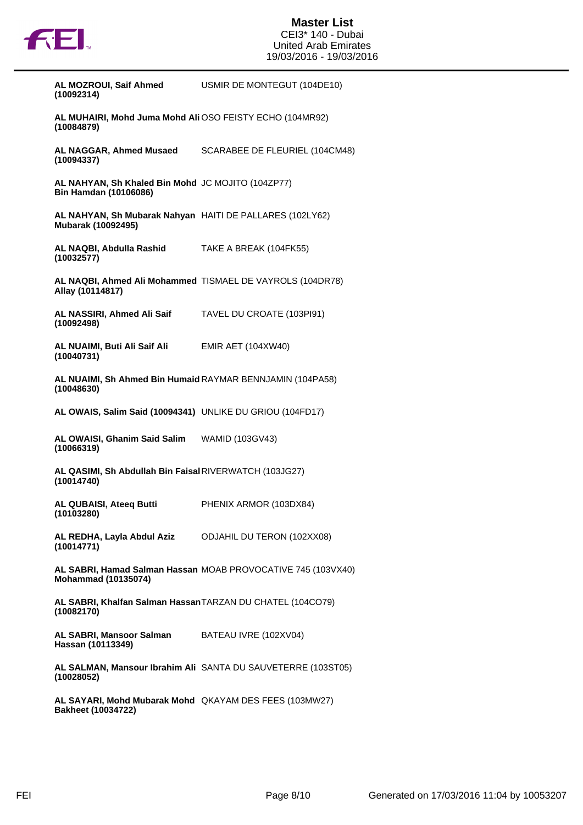

| AL MOZROUI, Saif Ahmed<br>(10092314)                                                | USMIR DE MONTEGUT (104DE10)                                  |
|-------------------------------------------------------------------------------------|--------------------------------------------------------------|
| AL MUHAIRI, Mohd Juma Mohd Ali OSO FEISTY ECHO (104MR92)<br>(10084879)              |                                                              |
| (10094337)                                                                          | AL NAGGAR, Ahmed Musaed SCARABEE DE FLEURIEL (104CM48)       |
| AL NAHYAN, Sh Khaled Bin Mohd JC MOJITO (104ZP77)<br><b>Bin Hamdan (10106086)</b>   |                                                              |
| AL NAHYAN, Sh Mubarak Nahyan HAITI DE PALLARES (102LY62)<br>Mubarak (10092495)      |                                                              |
| AL NAQBI, Abdulla Rashid TAKE A BREAK (104FK55)<br>(10032577)                       |                                                              |
| Allay (10114817)                                                                    | AL NAQBI, Ahmed Ali Mohammed TISMAEL DE VAYROLS (104DR78)    |
| AL NASSIRI, Ahmed Ali Saif TAVEL DU CROATE (103PI91)<br>(10092498)                  |                                                              |
| AL NUAIMI, Buti Ali Saif Ali EMIR AET (104XW40)<br>(10040731)                       |                                                              |
| AL NUAIMI, Sh Ahmed Bin Humaid RAYMAR BENNJAMIN (104PA58)<br>(10048630)             |                                                              |
| AL OWAIS, Salim Said (10094341) UNLIKE DU GRIOU (104FD17)                           |                                                              |
| AL OWAISI, Ghanim Said Salim WAMID (103GV43)<br>(10066319)                          |                                                              |
| AL QASIMI, Sh Abdullah Bin Faisal RIVERWATCH (103JG27)<br>(10014740)                |                                                              |
| AL QUBAISI, Ateeq Butti<br>(10103280)                                               | PHENIX ARMOR (103DX84)                                       |
| AL REDHA, Layla Abdul Aziz ODJAHIL DU TERON (102XX08)<br>(10014771)                 |                                                              |
| <b>Mohammad (10135074)</b>                                                          | AL SABRI, Hamad Salman Hassan MOAB PROVOCATIVE 745 (103VX40) |
| AL SABRI, Khalfan Salman Hassan TARZAN DU CHATEL (104CO79)<br>(10082170)            |                                                              |
| <b>AL SABRI, Mansoor Salman</b> BATEAU IVRE (102XV04)<br>Hassan (10113349)          |                                                              |
| (10028052)                                                                          | AL SALMAN, Mansour Ibrahim Ali SANTA DU SAUVETERRE (103ST05) |
| AL SAYARI, Mohd Mubarak Mohd QKAYAM DES FEES (103MW27)<br><b>Bakheet (10034722)</b> |                                                              |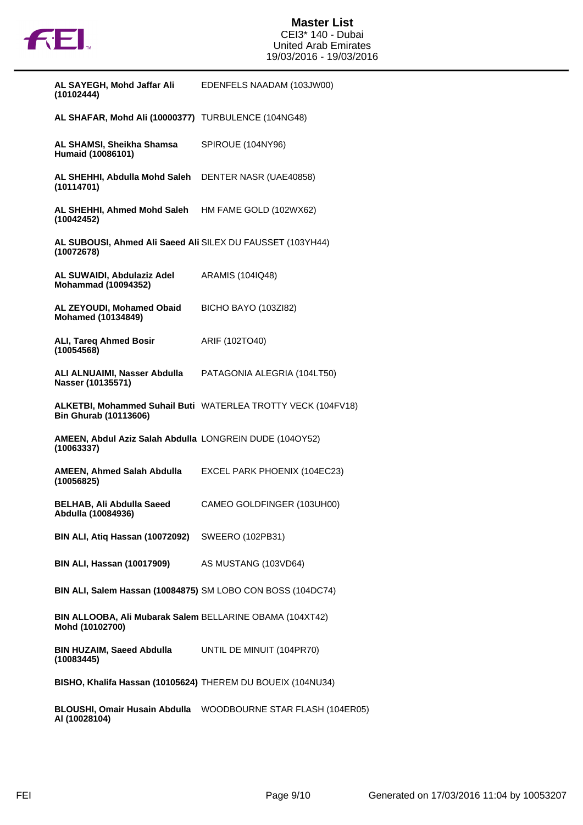

| AL SAYEGH, Mohd Jaffar Ali<br>(10102444)                                     | EDENFELS NAADAM (103JW00)                                    |
|------------------------------------------------------------------------------|--------------------------------------------------------------|
| AL SHAFAR, Mohd Ali (10000377) TURBULENCE (104NG48)                          |                                                              |
| AL SHAMSI, Sheikha Shamsa<br>Humaid (10086101)                               | SPIROUE (104NY96)                                            |
| AL SHEHHI, Abdulla Mohd Saleh<br>(10114701)                                  | DENTER NASR (UAE40858)                                       |
| AL SHEHHI, Ahmed Mohd Saleh<br>(10042452)                                    | HM FAME GOLD (102WX62)                                       |
| AL SUBOUSI, Ahmed Ali Saeed Ali SILEX DU FAUSSET (103YH44)<br>(10072678)     |                                                              |
| AL SUWAIDI, Abdulaziz Adel<br><b>Mohammad (10094352)</b>                     | ARAMIS (104IQ48)                                             |
| AL ZEYOUDI, Mohamed Obaid<br><b>Mohamed (10134849)</b>                       | BICHO BAYO (103ZI82)                                         |
| <b>ALI, Tareq Ahmed Bosir</b><br>(10054568)                                  | ARIF (102TO40)                                               |
| ALI ALNUAIMI, Nasser Abdulla<br>Nasser (10135571)                            | PATAGONIA ALEGRIA (104LT50)                                  |
| <b>Bin Ghurab (10113606)</b>                                                 | ALKETBI, Mohammed Suhail Buti WATERLEA TROTTY VECK (104FV18) |
| <b>AMEEN, Abdul Aziz Salah Abdulla LONGREIN DUDE (1040Y52)</b><br>(10063337) |                                                              |
| AMEEN, Ahmed Salah Abdulla<br>(10056825)                                     | EXCEL PARK PHOENIX (104EC23)                                 |
| <b>BELHAB, Ali Abdulla Saeed</b><br>Abdulla (10084936)                       | CAMEO GOLDFINGER (103UH00)                                   |
| BIN ALI, Atiq Hassan (10072092) SWEERO (102PB31)                             |                                                              |
| <b>BIN ALI, Hassan (10017909)</b> AS MUSTANG (103VD64)                       |                                                              |
| BIN ALI, Salem Hassan (10084875) SM LOBO CON BOSS (104DC74)                  |                                                              |
| BIN ALLOOBA, Ali Mubarak Salem BELLARINE OBAMA (104XT42)<br>Mohd (10102700)  |                                                              |
| BIN HUZAIM, Saeed Abdulla UNTIL DE MINUIT (104PR70)<br>(10083445)            |                                                              |
| BISHO, Khalifa Hassan (10105624) THEREM DU BOUEIX (104NU34)                  |                                                              |
| AI (10028104)                                                                |                                                              |